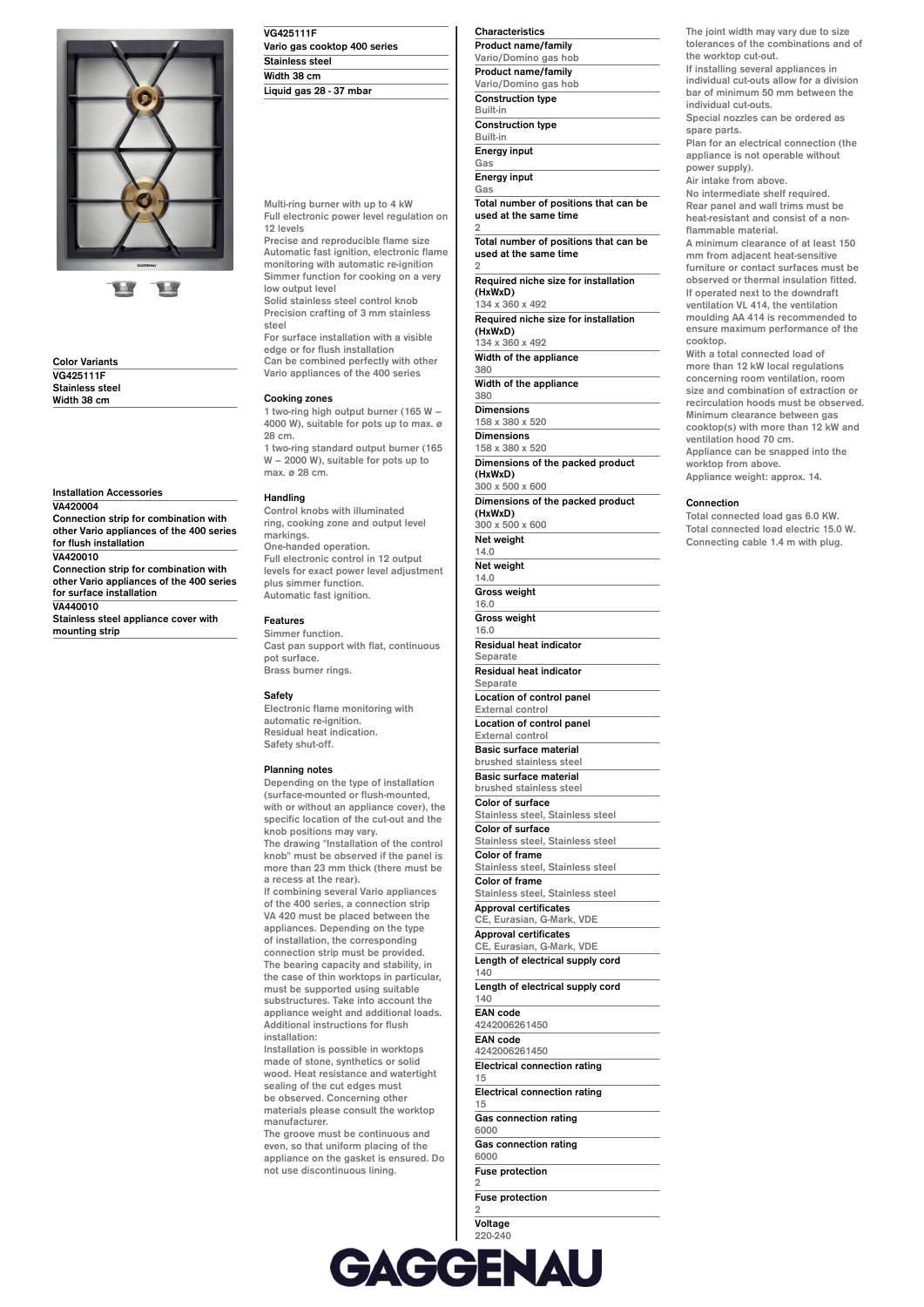

**Color Variants VG425111F Stainless steel Width 38 cm**

**Installation Accessories VA420004**

**Connection strip for combination with other Vario appliances of the 400 series for flush installation VA420010 Connection strip for combination with other Vario appliances of the 400 series for surface installation VA440010**

**Stainless steel appliance cover with mounting strip**

| <b>VG425111F</b>             |  |
|------------------------------|--|
| Vario gas cooktop 400 series |  |
| <b>Stainless steel</b>       |  |
| Width 38 cm                  |  |
| Liquid gas 28 - 37 mbar      |  |

**Multi-ring burner with up to 4 kW Full electronic power level regulation on 12 levels**

**Precise and reproducible flame size Automatic fast ignition, electronic flame monitoring with automatic re-ignition Simmer function for cooking on a very low output level**

**Solid stainless steel control knob Precision crafting of 3 mm stainless steel**

**For surface installation with a visible edge or for flush installation Can be combined perfectly with other**

**Vario appliances of the 400 series**

# **Cooking zones**

**1 two-ring high output burner (165 W – 4000 W), suitable for pots up to max. ø 28 cm.**

**1 two-ring standard output burner (165 W – 2000 W), suitable for pots up to max. ø 28 cm.**

#### **Handling**

**Control knobs with illuminated ring, cooking zone and output level markings. One-handed operation. Full electronic control in 12 output levels for exact power level adjustment plus simmer function. Automatic fast ignition.**

#### **Features**

**Simmer function. Cast pan support with flat, continuous pot surface. Brass burner rings.**

# **Safety**

**Electronic flame monitoring with automatic re-ignition. Residual heat indication. Safety shut-off.**

#### **Planning notes**

**Depending on the type of installation (surface-mounted or flush-mounted, with or without an appliance cover), the specific location of the cut-out and the knob positions may vary. The drawing "Installation of the control knob" must be observed if the panel is more than 23 mm thick (there must be a recess at the rear).**

**If combining several Vario appliances of the 400 series, a connection strip VA 420 must be placed between the appliances. Depending on the type of installation, the corresponding connection strip must be provided. The bearing capacity and stability, in the case of thin worktops in particular, must be supported using suitable substructures. Take into account the appliance weight and additional loads. Additional instructions for flush installation:**

**Installation is possible in worktops made of stone, synthetics or solid wood. Heat resistance and watertight sealing of the cut edges must be observed. Concerning other materials please consult the worktop manufacturer.**

**The groove must be continuous and even, so that uniform placing of the appliance on the gasket is ensured. Do not use discontinuous lining.**

**Characteristics Product name/family Vario/Domino gas hob Product name/family Vario/Domino gas hob Construction type Built-in Construction type Built-in Energy input Gas**

**Energy input Gas**

**Total number of positions that can be used at the same time 2**

**Total number of positions that can be used at the same time 2**

**Required niche size for installation (HxWxD) 134 x 360 x 492**

**Required niche size for installation (HxWxD) 134 x 360 x 492**

**Width of the appliance 380**

**Width of the appliance**

**380 Dimensions**

**158 x 380 x 520 Dimensions**

**158 x 380 x 520**

**Dimensions of the packed product (HxWxD) 300 x 500 x 600**

**Dimensions of the packed product (HxWxD)**

**300 x 500 x 600 Net weight**

**14.0 Net weight 14.0 Gross weight 16.0 Gross weight 16.0 Residual heat indicator Separate**

**Residual heat indicator**

**Separate Location of control panel**

**External control Location of control panel**

**External control Basic surface material brushed stainless steel**

**Basic surface material brushed stainless steel Color of surface Stainless steel, Stainless steel Color of surface Stainless steel, Stainless steel**

**Color of frame Stainless steel, Stainless steel Color of frame**

**Stainless steel, Stainless steel**

**Approval certificates CE, Eurasian, G-Mark, VDE Approval certificates**

**CE, Eurasian, G-Mark, VDE Length of electrical supply cord 140**

**Length of electrical supply cord 140**

**EAN code**

**4242006261450 EAN code**

**4242006261450 Electrical connection rating**

**15 Electrical connection rating**

**15**

**Gas connection rating 6000**

**Gas connection rating 6000**

**Fuse protection**

**2 Fuse protection 2**

**Voltage 220-240**

**Voltage 220-240 Frequency 50; 60**

**The joint width may vary due to size tolerances of the combinations and of the worktop cut-out. If installing several appliances in**

**individual cut-outs allow for a division bar of minimum 50 mm between the individual cut-outs.**

**Special nozzles can be ordered as spare parts.**

**Plan for an electrical connection (the appliance is not operable without power supply).**

**Air intake from above.**

**No intermediate shelf required. Rear panel and wall trims must be heat-resistant and consist of a nonflammable material.**

**A minimum clearance of at least 150 mm from adjacent heat-sensitive furniture or contact surfaces must be observed or thermal insulation fitted. If operated next to the downdraft ventilation VL 414, the ventilation moulding AA 414 is recommended to ensure maximum performance of the cooktop.**

**With a total connected load of more than 12 kW local regulations concerning room ventilation, room size and combination of extraction or recirculation hoods must be observed. Minimum clearance between gas cooktop(s) with more than 12 kW and ventilation hood 70 cm. Appliance can be snapped into the worktop from above. Appliance weight: approx. 14.**

## **Connection**

**Total connected load gas 6.0 KW. Total connected load electric 15.0 W. Connecting cable 1.4 m with plug.**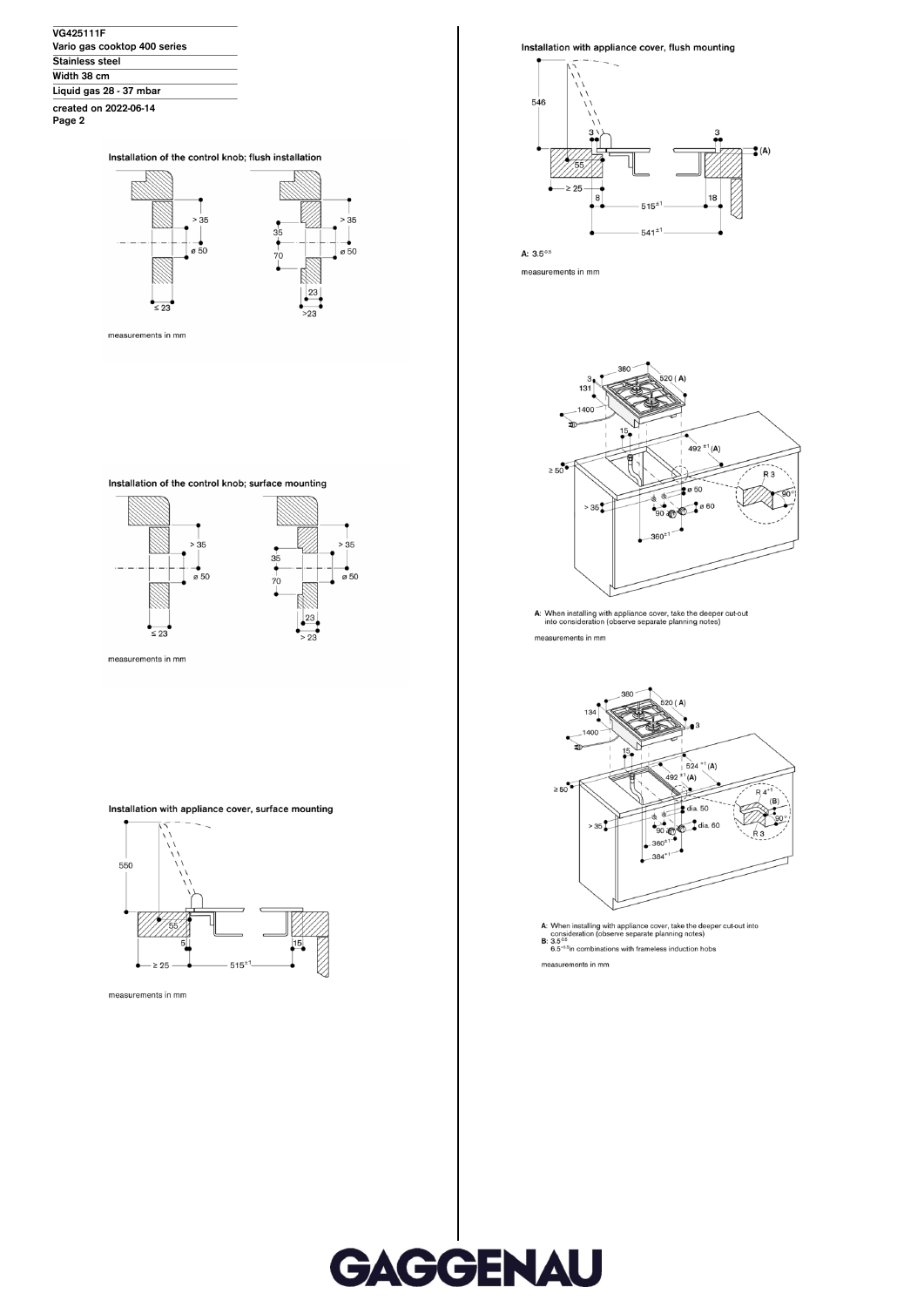| <b>VG425111F</b>             |  |
|------------------------------|--|
| Vario gas cooktop 400 series |  |
| <b>Stainless steel</b>       |  |
| Width 38 cm                  |  |
| Liquid gas 28 - 37 mbar      |  |
| created on 2022-06-14        |  |

Page 2

### Installation of the control knob; flush installation



measurements in mm

Installation of the control knob; surface mounting



Installation with appliance cover, surface mounting



measurements in mm

Installation with appliance cover, flush mounting



A:  $3.5^{0.5}$ 

measurements in mm



A: When installing with appliance cover, take the deeper cut-out<br>into consideration (observe separate planning notes) measurements in mm



measurements in mm